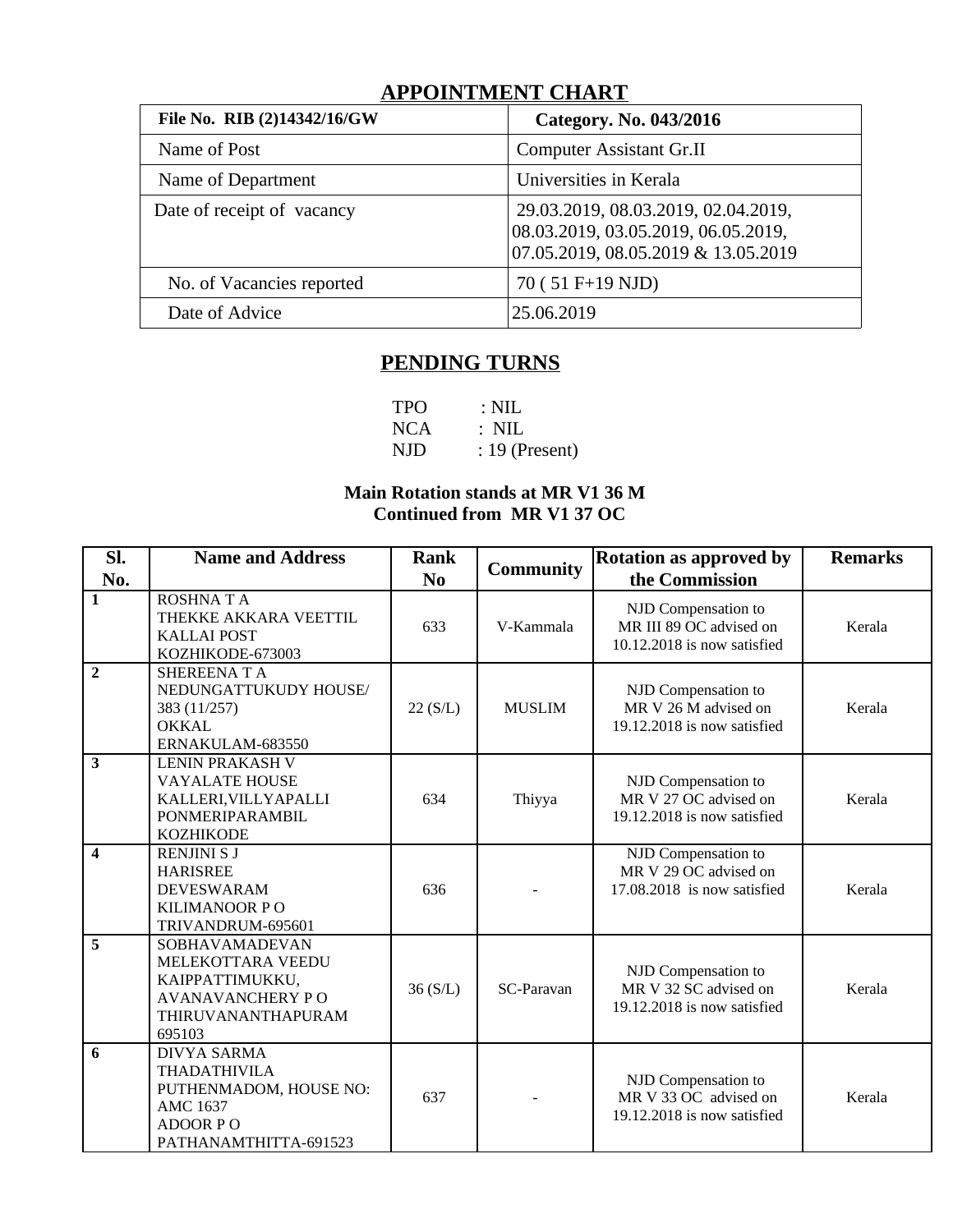## **APPOINTMENT CHART**

| File No. RIB (2)14342/16/GW | Category. No. 043/2016                                                                                            |
|-----------------------------|-------------------------------------------------------------------------------------------------------------------|
| Name of Post                | <b>Computer Assistant Gr.II</b>                                                                                   |
| Name of Department          | Universities in Kerala                                                                                            |
| Date of receipt of vacancy  | 29.03.2019, 08.03.2019, 02.04.2019,<br>08.03.2019, 03.05.2019, 06.05.2019,<br>07.05.2019, 08.05.2019 & 13.05.2019 |
| No. of Vacancies reported   | 70 (51 F+19 NJD)                                                                                                  |
| Date of Advice              | 25.06.2019                                                                                                        |

# **PENDING TURNS**

| <b>TPO</b> | $\therefore$ NIL |
|------------|------------------|
| NCA -      | $\therefore$ NIL |
| NJD.       | $: 19$ (Present) |

### **Main Rotation stands at MR V1 36 M Continued from MR V1 37 OC**

| SI.                     | <b>Name and Address</b>                                                                                                            | Rank           | Community     | <b>Rotation as approved by</b>                                                | <b>Remarks</b> |
|-------------------------|------------------------------------------------------------------------------------------------------------------------------------|----------------|---------------|-------------------------------------------------------------------------------|----------------|
| No.                     |                                                                                                                                    | N <sub>0</sub> |               | the Commission                                                                |                |
| $\mathbf{1}$            | <b>ROSHNATA</b><br>THEKKE AKKARA VEETTIL<br><b>KALLAI POST</b><br>KOZHIKODE-673003                                                 | 633            | V-Kammala     | NJD Compensation to<br>MR III 89 OC advised on<br>10.12.2018 is now satisfied | Kerala         |
| $\overline{2}$          | <b>SHEREENATA</b><br>NEDUNGATTUKUDY HOUSE/<br>383 (11/257)<br><b>OKKAL</b><br>ERNAKULAM-683550                                     | 22(S/L)        | <b>MUSLIM</b> | NJD Compensation to<br>MR V 26 M advised on<br>19.12.2018 is now satisfied    | Kerala         |
| $\overline{3}$          | <b>LENIN PRAKASH V</b><br><b>VAYALATE HOUSE</b><br>KALLERI, VILLY APALLI<br>PONMERIPARAMBIL<br><b>KOZHIKODE</b>                    | 634            | Thiyya        | NJD Compensation to<br>MR V 27 OC advised on<br>19.12.2018 is now satisfied   | Kerala         |
| $\overline{\mathbf{4}}$ | RENJINI S J<br><b>HARISREE</b><br><b>DEVESWARAM</b><br><b>KILIMANOOR PO</b><br>TRIVANDRUM-695601                                   | 636            |               | NJD Compensation to<br>MR V 29 OC advised on<br>17.08.2018 is now satisfied   | Kerala         |
| 5                       | SOBHAVAMADEVAN<br>MELEKOTTARA VEEDU<br>KAIPPATTIMUKKU,<br><b>AVANAVANCHERY PO</b><br>THIRUVANANTHAPURAM<br>695103                  | 36(S/L)        | SC-Paravan    | NJD Compensation to<br>MR V 32 SC advised on<br>19.12.2018 is now satisfied   | Kerala         |
| 6                       | <b>DIVYA SARMA</b><br><b>THADATHIVILA</b><br>PUTHENMADOM, HOUSE NO:<br><b>AMC 1637</b><br><b>ADOOR PO</b><br>PATHANAMTHITTA-691523 | 637            |               | NJD Compensation to<br>MR V 33 OC advised on<br>19.12.2018 is now satisfied   | Kerala         |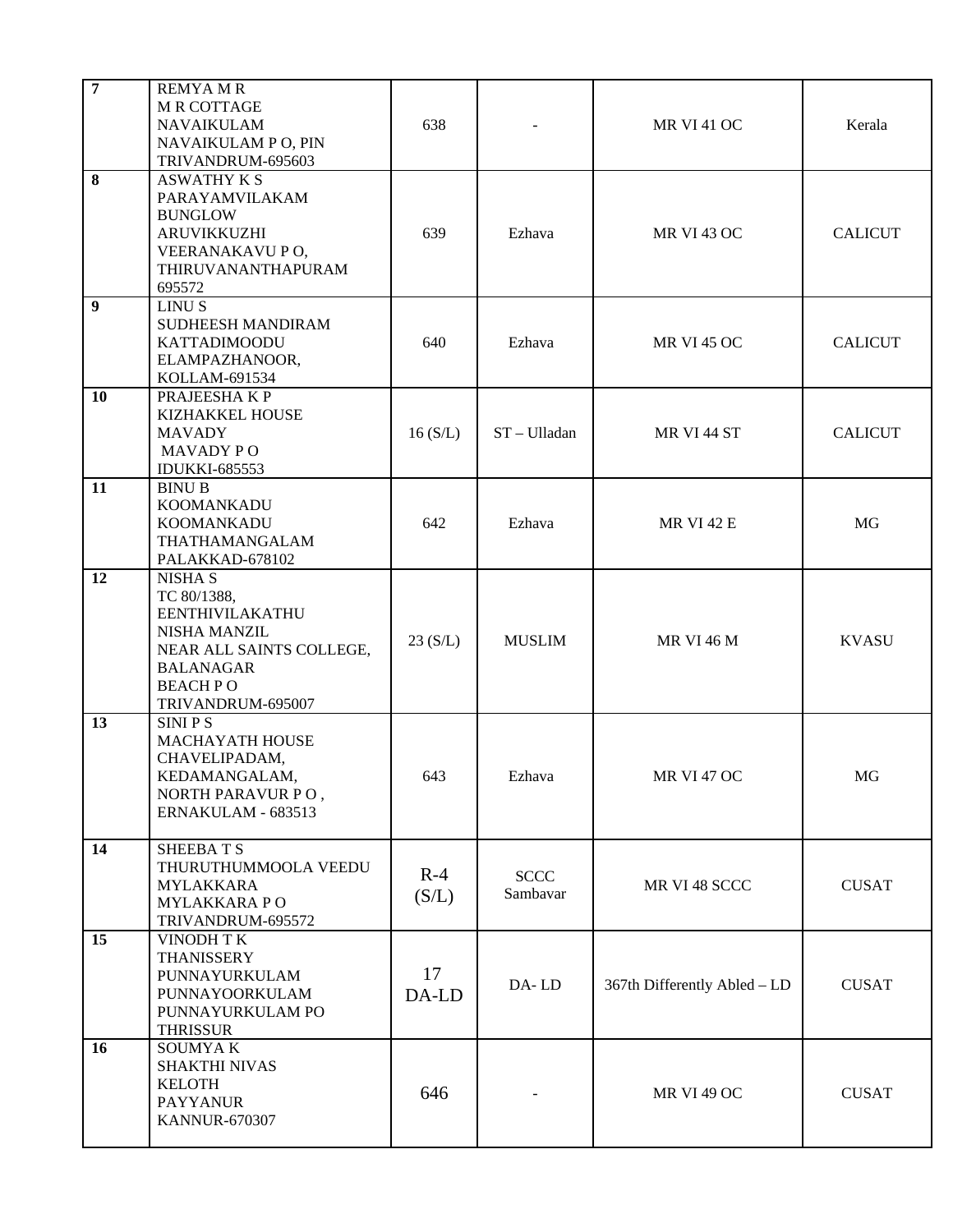| $\overline{7}$ | <b>REMYAMR</b><br><b>M R COTTAGE</b><br><b>NAVAIKULAM</b><br>NAVAIKULAM P O, PIN<br>TRIVANDRUM-695603                                                          | 638            |                         | <b>MR VI 41 OC</b>           | Kerala         |
|----------------|----------------------------------------------------------------------------------------------------------------------------------------------------------------|----------------|-------------------------|------------------------------|----------------|
| 8              | <b>ASWATHY K S</b><br>PARAYAMVILAKAM<br><b>BUNGLOW</b><br><b>ARUVIKKUZHI</b><br>VEERANAKAVU PO,<br>THIRUVANANTHAPURAM<br>695572                                | 639            | Ezhava                  | <b>MR VI 43 OC</b>           | <b>CALICUT</b> |
| 9              | <b>LINUS</b><br>SUDHEESH MANDIRAM<br><b>KATTADIMOODU</b><br>ELAMPAZHANOOR,<br>KOLLAM-691534                                                                    | 640            | Ezhava                  | <b>MR VI 45 OC</b>           | <b>CALICUT</b> |
| 10             | PRAJEESHAKP<br>KIZHAKKEL HOUSE<br><b>MAVADY</b><br><b>MAVADY PO</b><br><b>IDUKKI-685553</b>                                                                    | 16(S/L)        | ST-Ulladan              | MR VI 44 ST                  | <b>CALICUT</b> |
| 11             | <b>BINU B</b><br><b>KOOMANKADU</b><br>KOOMANKADU<br>THATHAMANGALAM<br>PALAKKAD-678102                                                                          | 642            | Ezhava                  | <b>MR VI 42 E</b>            | MG             |
| 12             | <b>NISHA S</b><br>TC 80/1388,<br>EENTHIVILAKATHU<br><b>NISHA MANZIL</b><br>NEAR ALL SAINTS COLLEGE,<br><b>BALANAGAR</b><br><b>BEACHPO</b><br>TRIVANDRUM-695007 | 23(S/L)        | <b>MUSLIM</b>           | <b>MR VI 46 M</b>            | <b>KVASU</b>   |
| 13             | <b>SINIPS</b><br>MACHAYATH HOUSE<br>CHAVELIPADAM,<br>KEDAMANGALAM,<br>NORTH PARAVUR PO,<br>ERNAKULAM - 683513                                                  | 643            | Ezhava                  | <b>MR VI 47 OC</b>           | MG             |
| 14             | <b>SHEEBATS</b><br>THURUTHUMMOOLA VEEDU<br><b>MYLAKKARA</b><br><b>MYLAKKARAPO</b><br>TRIVANDRUM-695572                                                         | $R-4$<br>(S/L) | <b>SCCC</b><br>Sambavar | MR VI 48 SCCC                | <b>CUSAT</b>   |
| 15             | <b>VINODH TK</b><br><b>THANISSERY</b><br>PUNNAYURKULAM<br>PUNNAYOORKULAM<br>PUNNAYURKULAM PO<br><b>THRISSUR</b>                                                | 17<br>DA-LD    | DA-LD                   | 367th Differently Abled - LD | <b>CUSAT</b>   |
| 16             | SOUMYA K<br><b>SHAKTHI NIVAS</b><br><b>KELOTH</b><br><b>PAYYANUR</b><br><b>KANNUR-670307</b>                                                                   | 646            |                         | <b>MR VI 49 OC</b>           | <b>CUSAT</b>   |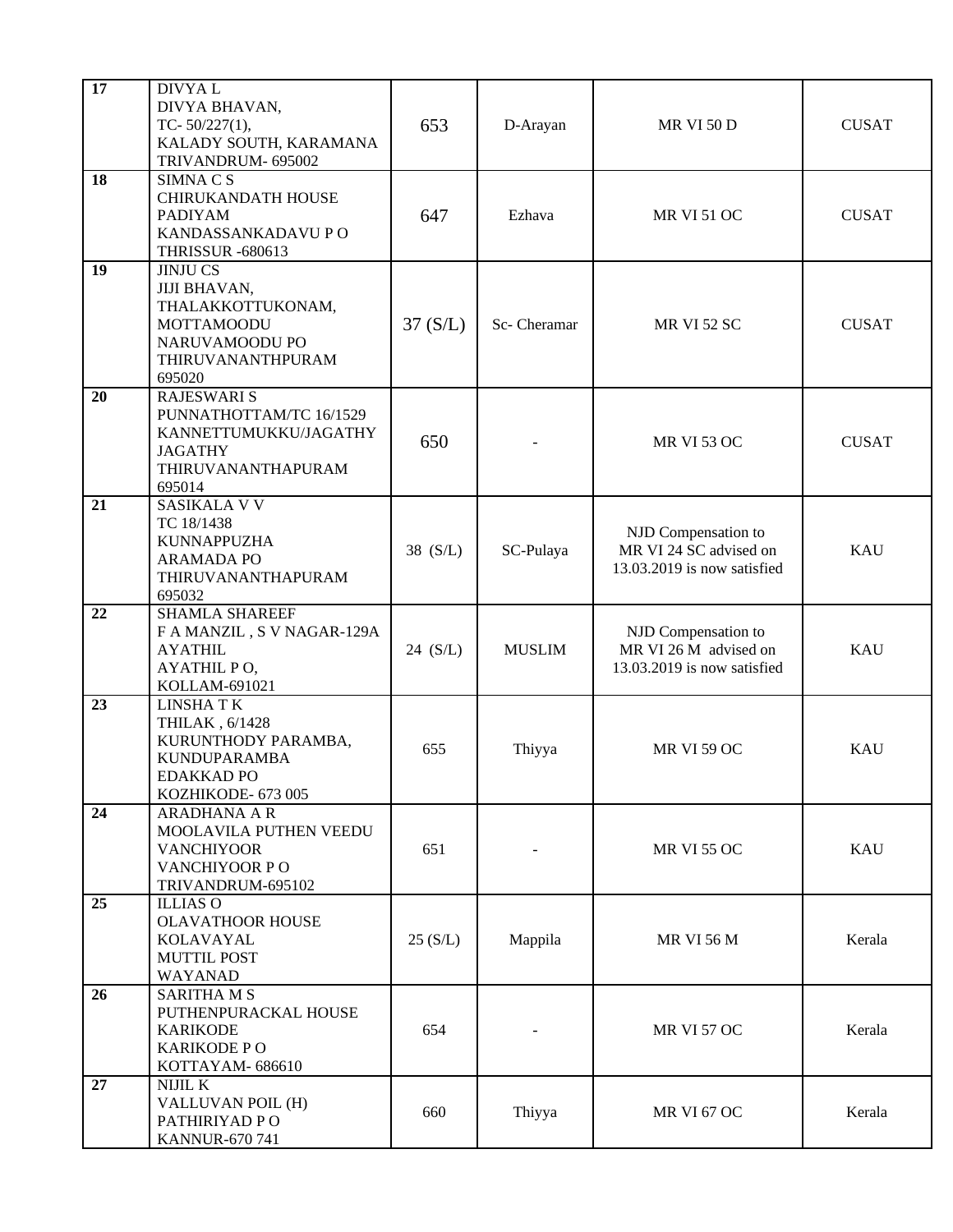| 17 | DIVYA L<br>DIVYA BHAVAN,<br>TC- $50/227(1)$ ,<br>KALADY SOUTH, KARAMANA<br>TRIVANDRUM- 695002                              | 653      | D-Arayan      | <b>MR VI 50 D</b>                                                            | <b>CUSAT</b> |
|----|----------------------------------------------------------------------------------------------------------------------------|----------|---------------|------------------------------------------------------------------------------|--------------|
| 18 | SIMNA C S<br>CHIRUKANDATH HOUSE<br><b>PADIYAM</b><br>KANDASSANKADAVU P O<br><b>THRISSUR -680613</b>                        | 647      | Ezhava        | <b>MR VI 51 OC</b>                                                           | <b>CUSAT</b> |
| 19 | <b>JINJU CS</b><br>JIJI BHAVAN,<br>THALAKKOTTUKONAM,<br><b>MOTTAMOODU</b><br>NARUVAMOODU PO<br>THIRUVANANTHPURAM<br>695020 | 37(S/L)  | Sc- Cheramar  | <b>MR VI 52 SC</b>                                                           | <b>CUSAT</b> |
| 20 | <b>RAJESWARI S</b><br>PUNNATHOTTAM/TC 16/1529<br>KANNETTUMUKKU/JAGATHY<br><b>JAGATHY</b><br>THIRUVANANTHAPURAM<br>695014   | 650      |               | <b>MR VI 53 OC</b>                                                           | <b>CUSAT</b> |
| 21 | SASIKALA V V<br>TC 18/1438<br><b>KUNNAPPUZHA</b><br><b>ARAMADA PO</b><br>THIRUVANANTHAPURAM<br>695032                      | 38 (S/L) | SC-Pulaya     | NJD Compensation to<br>MR VI 24 SC advised on<br>13.03.2019 is now satisfied | KAU          |
| 22 | <b>SHAMLA SHAREEF</b><br>F A MANZIL , S V NAGAR-129A<br><b>AYATHIL</b><br>AYATHIL PO,<br>KOLLAM-691021                     | 24 (S/L) | <b>MUSLIM</b> | NJD Compensation to<br>MR VI 26 M advised on<br>13.03.2019 is now satisfied  | <b>KAU</b>   |
| 23 | <b>LINSHATK</b><br>THILAK, 6/1428<br>KURUNTHODY PARAMBA,<br><b>KUNDUPARAMBA</b><br><b>EDAKKAD PO</b><br>KOZHIKODE- 673 005 | 655      | Thiyya        | <b>MR VI 59 OC</b>                                                           | <b>KAU</b>   |
| 24 | <b>ARADHANA A R</b><br>MOOLAVILA PUTHEN VEEDU<br><b>VANCHIYOOR</b><br>VANCHIYOOR PO<br>TRIVANDRUM-695102                   | 651      |               | <b>MR VI 55 OC</b>                                                           | <b>KAU</b>   |
| 25 | <b>ILLIAS O</b><br><b>OLAVATHOOR HOUSE</b><br>KOLAVAYAL<br><b>MUTTIL POST</b><br>WAYANAD                                   | 25(S/L)  | Mappila       | <b>MR VI 56 M</b>                                                            | Kerala       |
| 26 | <b>SARITHAMS</b><br>PUTHENPURACKAL HOUSE<br><b>KARIKODE</b><br><b>KARIKODE PO</b><br>KOTTAYAM-686610                       | 654      |               | <b>MR VI 57 OC</b>                                                           | Kerala       |
| 27 | NIJIL K<br>VALLUVAN POIL (H)<br>PATHIRIYAD PO<br><b>KANNUR-670 741</b>                                                     | 660      | Thiyya        | <b>MR VI 67 OC</b>                                                           | Kerala       |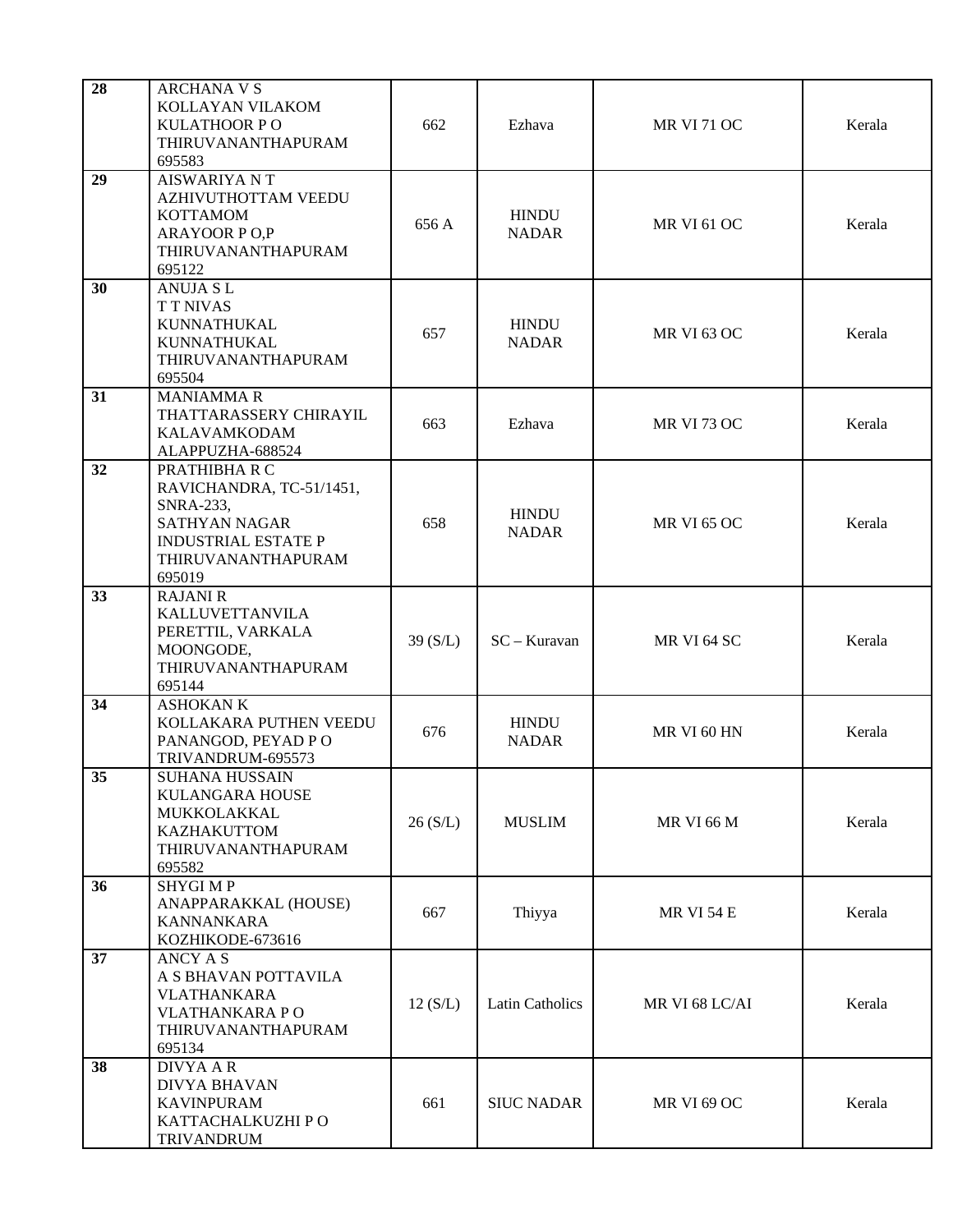| 28 | <b>ARCHANA V S</b><br>KOLLAYAN VILAKOM<br><b>KULATHOOR PO</b><br>THIRUVANANTHAPURAM<br>695583                                                       | 662        | Ezhava                       | <b>MR VI 71 OC</b> | Kerala |
|----|-----------------------------------------------------------------------------------------------------------------------------------------------------|------------|------------------------------|--------------------|--------|
| 29 | <b>AISWARIYA NT</b><br>AZHIVUTHOTTAM VEEDU<br><b>KOTTAMOM</b><br><b>ARAYOOR P O,P</b><br>THIRUVANANTHAPURAM<br>695122                               | 656 A      | <b>HINDU</b><br><b>NADAR</b> | <b>MR VI 61 OC</b> | Kerala |
| 30 | <b>ANUJA SL</b><br><b>TT NIVAS</b><br>KUNNATHUKAL<br>KUNNATHUKAL<br>THIRUVANANTHAPURAM<br>695504                                                    | 657        | <b>HINDU</b><br><b>NADAR</b> | <b>MR VI 63 OC</b> | Kerala |
| 31 | <b>MANIAMMAR</b><br>THATTARASSERY CHIRAYIL<br><b>KALAVAMKODAM</b><br>ALAPPUZHA-688524                                                               | 663        | Ezhava                       | <b>MR VI 73 OC</b> | Kerala |
| 32 | PRATHIBHA R C<br>RAVICHANDRA, TC-51/1451,<br><b>SNRA-233,</b><br><b>SATHYAN NAGAR</b><br><b>INDUSTRIAL ESTATE P</b><br>THIRUVANANTHAPURAM<br>695019 | 658        | <b>HINDU</b><br><b>NADAR</b> | <b>MR VI 65 OC</b> | Kerala |
| 33 | <b>RAJANI R</b><br><b>KALLUVETTANVILA</b><br>PERETTIL, VARKALA<br>MOONGODE,<br>THIRUVANANTHAPURAM<br>695144                                         | 39 $(S/L)$ | $SC - Kuravan$               | MR VI 64 SC        | Kerala |
| 34 | <b>ASHOKAN K</b><br>KOLLAKARA PUTHEN VEEDU<br>PANANGOD, PEYAD PO<br>TRIVANDRUM-695573                                                               | 676        | <b>HINDU</b><br><b>NADAR</b> | MR VI 60 HN        | Kerala |
| 35 | <b>SUHANA HUSSAIN</b><br>KULANGARA HOUSE<br>MUKKOLAKKAL<br>KAZHAKUTTOM<br>THIRUVANANTHAPURAM<br>695582                                              | 26(S/L)    | <b>MUSLIM</b>                | <b>MR VI 66 M</b>  | Kerala |
| 36 | <b>SHYGIMP</b><br>ANAPPARAKKAL (HOUSE)<br><b>KANNANKARA</b><br>KOZHIKODE-673616                                                                     | 667        | Thiyya                       | <b>MR VI 54 E</b>  | Kerala |
| 37 | <b>ANCY A S</b><br>A S BHAVAN POTTAVILA<br><b>VLATHANKARA</b><br>VLATHANKARA PO<br>THIRUVANANTHAPURAM<br>695134                                     | 12(S/L)    | <b>Latin Catholics</b>       | MR VI 68 LC/AI     | Kerala |
| 38 | <b>DIVYA A R</b><br><b>DIVYA BHAVAN</b><br><b>KAVINPURAM</b><br>KATTACHALKUZHI PO<br>TRIVANDRUM                                                     | 661        | <b>SIUC NADAR</b>            | <b>MR VI 69 OC</b> | Kerala |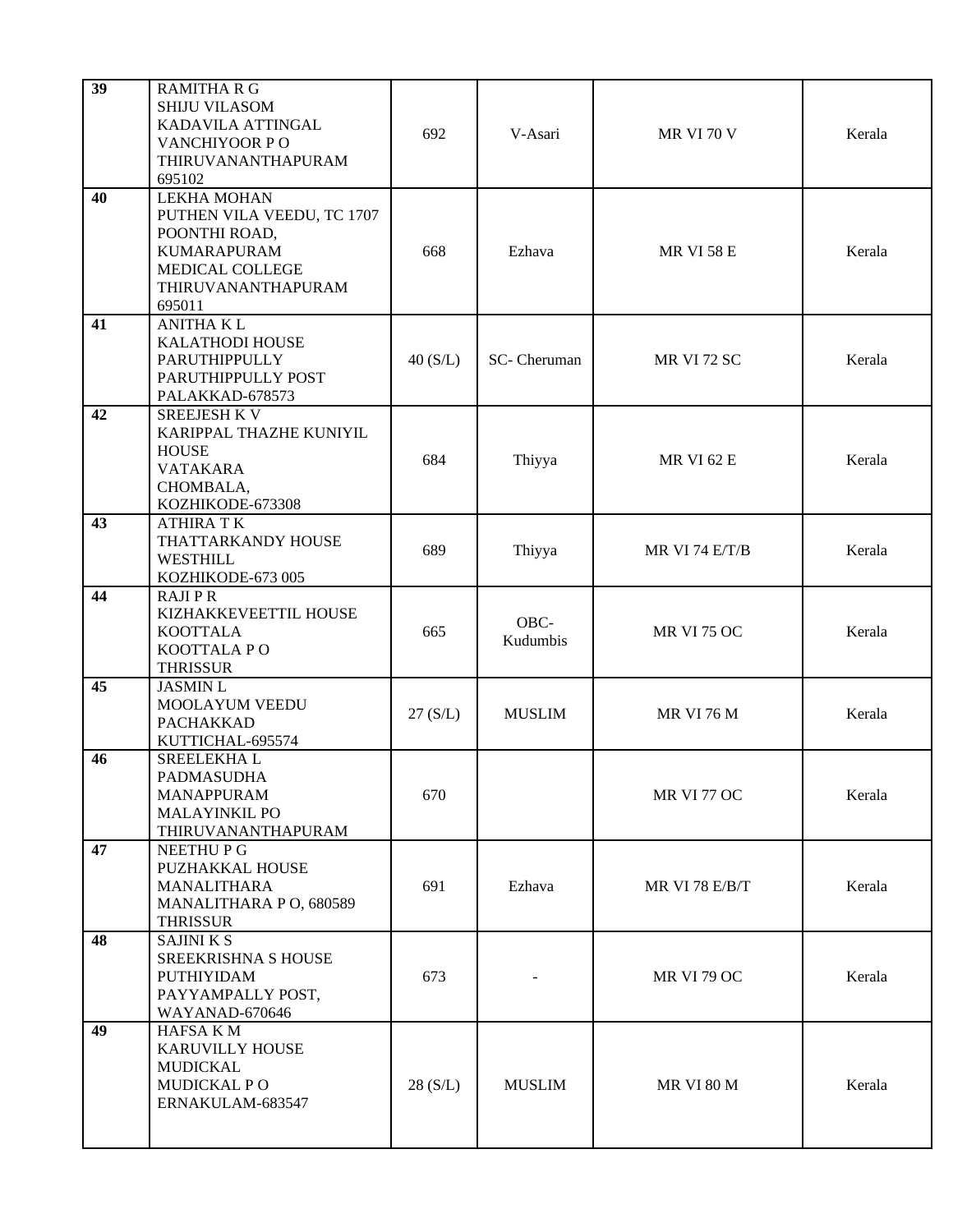| 39 | <b>RAMITHA R G</b><br><b>SHIJU VILASOM</b><br>KADAVILA ATTINGAL<br>VANCHIYOOR PO<br>THIRUVANANTHAPURAM<br>695102                           | 692     | V-Asari          | <b>MR VI 70 V</b>  | Kerala |
|----|--------------------------------------------------------------------------------------------------------------------------------------------|---------|------------------|--------------------|--------|
| 40 | <b>LEKHA MOHAN</b><br>PUTHEN VILA VEEDU, TC 1707<br>POONTHI ROAD,<br><b>KUMARAPURAM</b><br>MEDICAL COLLEGE<br>THIRUVANANTHAPURAM<br>695011 | 668     | Ezhava           | <b>MR VI 58 E</b>  | Kerala |
| 41 | <b>ANITHA KL</b><br>KALATHODI HOUSE<br>PARUTHIPPULLY<br>PARUTHIPPULLY POST<br>PALAKKAD-678573                                              | 40(S/L) | SC-Cheruman      | MR VI 72 SC        | Kerala |
| 42 | <b>SREEJESH K V</b><br>KARIPPAL THAZHE KUNIYIL<br><b>HOUSE</b><br><b>VATAKARA</b><br>CHOMBALA,<br>KOZHIKODE-673308                         | 684     | Thiyya           | <b>MR VI 62 E</b>  | Kerala |
| 43 | <b>ATHIRA TK</b><br>THATTARKANDY HOUSE<br>WESTHILL<br>KOZHIKODE-673 005                                                                    | 689     | Thiyya           | MR VI 74 E/T/B     | Kerala |
| 44 | <b>RAJIPR</b><br>KIZHAKKEVEETTIL HOUSE<br><b>KOOTTALA</b><br>KOOTTALA PO<br><b>THRISSUR</b>                                                | 665     | OBC-<br>Kudumbis | <b>MR VI 75 OC</b> | Kerala |
| 45 | <b>JASMIN L</b><br>MOOLAYUM VEEDU<br><b>PACHAKKAD</b><br>KUTTICHAL-695574                                                                  | 27(S/L) | <b>MUSLIM</b>    | <b>MR VI 76 M</b>  | Kerala |
| 46 | SREELEKHAL<br>PADMASUDHA<br><b>MANAPPURAM</b><br><b>MALAYINKIL PO</b><br>THIRUVANANTHAPURAM                                                | 670     |                  | <b>MR VI 77 OC</b> | Kerala |
| 47 | NEETHU P G<br>PUZHAKKAL HOUSE<br>MANALITHARA<br>MANALITHARA P O, 680589<br><b>THRISSUR</b>                                                 | 691     | Ezhava           | MR VI 78 E/B/T     | Kerala |
| 48 | <b>SAJINIKS</b><br><b>SREEKRISHNA S HOUSE</b><br>PUTHIYIDAM<br>PAYYAMPALLY POST,<br>WAYANAD-670646                                         | 673     |                  | <b>MR VI 79 OC</b> | Kerala |
| 49 | HAFSA K M<br><b>KARUVILLY HOUSE</b><br>MUDICKAL<br>MUDICKAL PO<br>ERNAKULAM-683547                                                         | 28(S/L) | <b>MUSLIM</b>    | <b>MR VI 80 M</b>  | Kerala |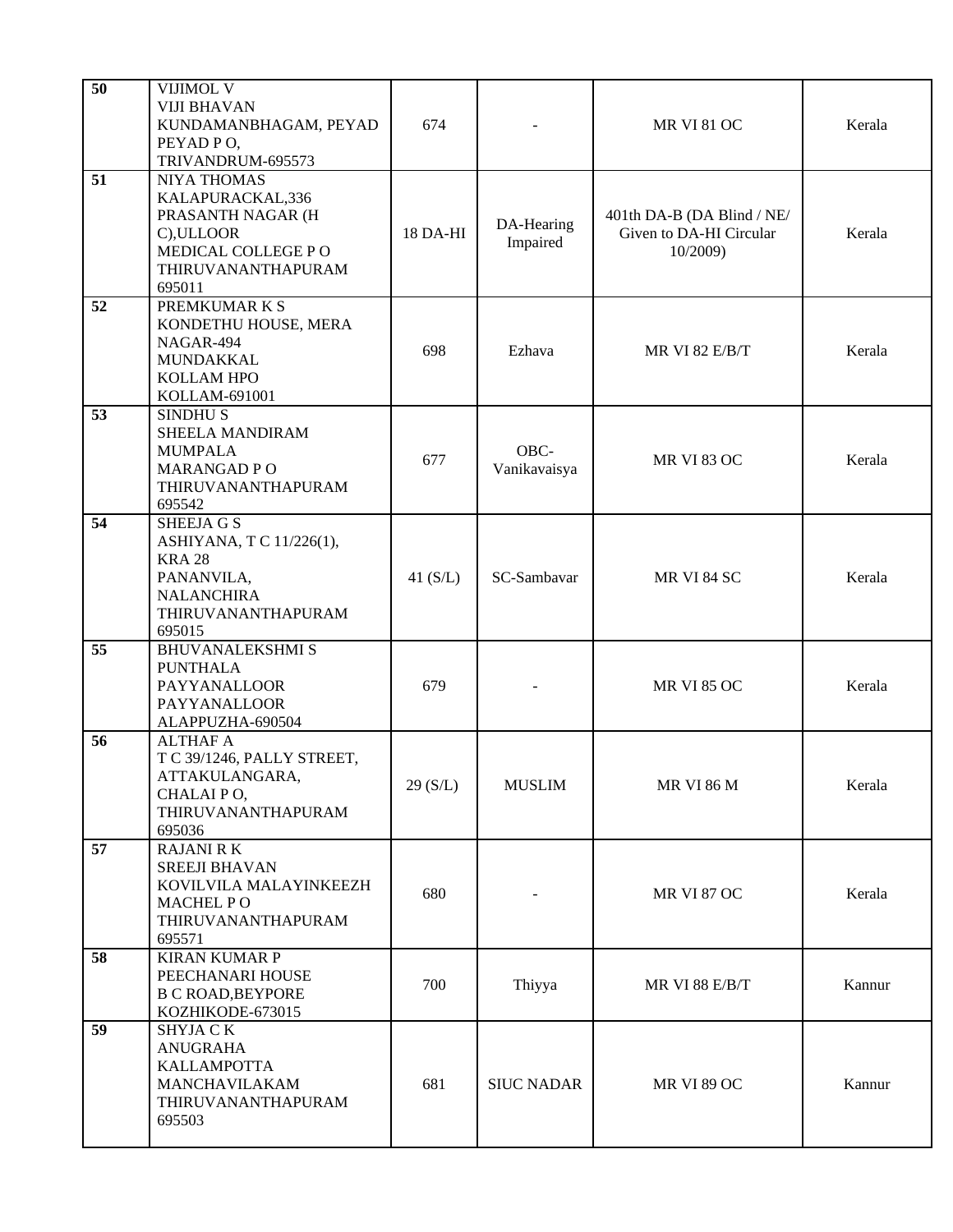| 50 | VIJIMOL V<br><b>VIJI BHAVAN</b><br>KUNDAMANBHAGAM, PEYAD<br>PEYAD PO,<br>TRIVANDRUM-695573                                        | 674        |                        | <b>MR VI 81 OC</b>                                                | Kerala |
|----|-----------------------------------------------------------------------------------------------------------------------------------|------------|------------------------|-------------------------------------------------------------------|--------|
| 51 | <b>NIYA THOMAS</b><br>KALAPURACKAL,336<br>PRASANTH NAGAR (H<br>C), ULLOOR<br>MEDICAL COLLEGE PO<br>THIRUVANANTHAPURAM<br>695011   | 18 DA-HI   | DA-Hearing<br>Impaired | 401th DA-B (DA Blind / NE/<br>Given to DA-HI Circular<br>10/2009) | Kerala |
| 52 | PREMKUMAR K S<br>KONDETHU HOUSE, MERA<br>NAGAR-494<br>MUNDAKKAL<br>KOLLAM HPO<br>KOLLAM-691001                                    | 698        | Ezhava                 | <b>MR VI 82 E/B/T</b>                                             | Kerala |
| 53 | <b>SINDHUS</b><br><b>SHEELA MANDIRAM</b><br><b>MUMPALA</b><br><b>MARANGAD PO</b><br>THIRUVANANTHAPURAM<br>695542                  | 677        | OBC-<br>Vanikavaisya   | <b>MR VI 83 OC</b>                                                | Kerala |
| 54 | <b>SHEEJA G S</b><br>ASHIYANA, T C 11/226(1),<br><b>KRA 28</b><br>PANANVILA,<br><b>NALANCHIRA</b><br>THIRUVANANTHAPURAM<br>695015 | 41 $(S/L)$ | SC-Sambavar            | MR VI 84 SC                                                       | Kerala |
| 55 | <b>BHUVANALEKSHMI S</b><br><b>PUNTHALA</b><br><b>PAYYANALLOOR</b><br>PAYYANALLOOR<br>ALAPPUZHA-690504                             | 679        |                        | <b>MR VI 85 OC</b>                                                | Kerala |
| 56 | <b>ALTHAF A</b><br>T C 39/1246, PALLY STREET,<br>ATTAKULANGARA,<br>CHALAI PO,<br>THIRUVANANTHAPURAM<br>695036                     | 29(S/L)    | <b>MUSLIM</b>          | <b>MR VI 86 M</b>                                                 | Kerala |
| 57 | <b>RAJANI RK</b><br><b>SREEJI BHAVAN</b><br>KOVILVILA MALAYINKEEZH<br>MACHEL PO<br>THIRUVANANTHAPURAM<br>695571                   | 680        |                        | <b>MR VI 87 OC</b>                                                | Kerala |
| 58 | <b>KIRAN KUMAR P</b><br>PEECHANARI HOUSE<br><b>B C ROAD, BEYPORE</b><br>KOZHIKODE-673015                                          | 700        | Thiyya                 | MR VI 88 E/B/T                                                    | Kannur |
| 59 | <b>SHYJA CK</b><br><b>ANUGRAHA</b><br><b>KALLAMPOTTA</b><br>MANCHAVILAKAM<br>THIRUVANANTHAPURAM<br>695503                         | 681        | <b>SIUC NADAR</b>      | <b>MR VI 89 OC</b>                                                | Kannur |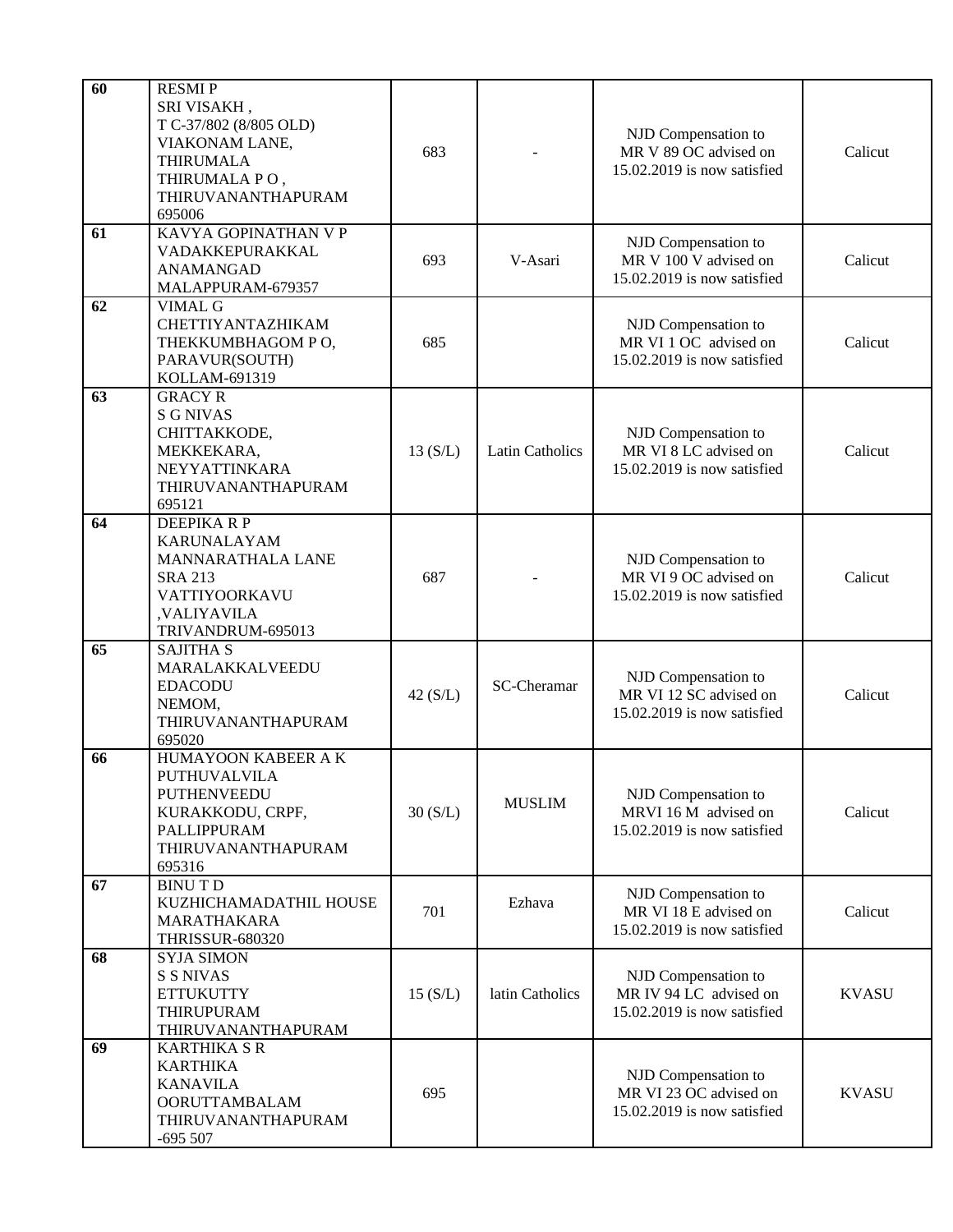| 60 | <b>RESMIP</b><br>SRI VISAKH,<br>T C-37/802 (8/805 OLD)<br>VIAKONAM LANE,<br><b>THIRUMALA</b><br>THIRUMALA PO,<br>THIRUVANANTHAPURAM<br>695006 | 683     |                        | NJD Compensation to<br>MR V 89 OC advised on<br>15.02.2019 is now satisfied  | Calicut      |
|----|-----------------------------------------------------------------------------------------------------------------------------------------------|---------|------------------------|------------------------------------------------------------------------------|--------------|
| 61 | KAVYA GOPINATHAN V P<br>VADAKKEPURAKKAL<br><b>ANAMANGAD</b><br>MALAPPURAM-679357                                                              | 693     | V-Asari                | NJD Compensation to<br>MR V 100 V advised on<br>15.02.2019 is now satisfied  | Calicut      |
| 62 | VIMAL G<br>CHETTIYANTAZHIKAM<br>THEKKUMBHAGOM PO,<br>PARAVUR(SOUTH)<br>KOLLAM-691319                                                          | 685     |                        | NJD Compensation to<br>MR VI 1 OC advised on<br>15.02.2019 is now satisfied  | Calicut      |
| 63 | <b>GRACY R</b><br><b>S G NIVAS</b><br>CHITTAKKODE,<br>MEKKEKARA,<br>NEYYATTINKARA<br>THIRUVANANTHAPURAM<br>695121                             | 13(S/L) | <b>Latin Catholics</b> | NJD Compensation to<br>MR VI 8 LC advised on<br>15.02.2019 is now satisfied  | Calicut      |
| 64 | <b>DEEPIKARP</b><br><b>KARUNALAYAM</b><br><b>MANNARATHALA LANE</b><br><b>SRA 213</b><br>VATTIYOORKAVU<br>,VALIYAVILA<br>TRIVANDRUM-695013     | 687     |                        | NJD Compensation to<br>MR VI 9 OC advised on<br>15.02.2019 is now satisfied  | Calicut      |
| 65 | <b>SAJITHA S</b><br>MARALAKKALVEEDU<br><b>EDACODU</b><br>NEMOM,<br>THIRUVANANTHAPURAM<br>695020                                               | 42(S/L) | SC-Cheramar            | NJD Compensation to<br>MR VI 12 SC advised on<br>15.02.2019 is now satisfied | Calicut      |
| 66 | HUMAYOON KABEER A K<br>PUTHUVALVILA<br>PUTHENVEEDU<br>KURAKKODU, CRPF,<br>PALLIPPURAM<br>THIRUVANANTHAPURAM<br>695316                         | 30(S/L) | <b>MUSLIM</b>          | NJD Compensation to<br>MRVI 16 M advised on<br>15.02.2019 is now satisfied   | Calicut      |
| 67 | <b>BINUTD</b><br>KUZHICHAMADATHIL HOUSE<br>MARATHAKARA<br><b>THRISSUR-680320</b>                                                              | 701     | Ezhava                 | NJD Compensation to<br>MR VI 18 E advised on<br>15.02.2019 is now satisfied  | Calicut      |
| 68 | <b>SYJA SIMON</b><br><b>S S NIVAS</b><br><b>ETTUKUTTY</b><br>THIRUPURAM<br>THIRUVANANTHAPURAM                                                 | 15(S/L) | latin Catholics        | NJD Compensation to<br>MR IV 94 LC advised on<br>15.02.2019 is now satisfied | <b>KVASU</b> |
| 69 | <b>KARTHIKA S R</b><br><b>KARTHIKA</b><br><b>KANAVILA</b><br><b>OORUTTAMBALAM</b><br>THIRUVANANTHAPURAM<br>$-695507$                          | 695     |                        | NJD Compensation to<br>MR VI 23 OC advised on<br>15.02.2019 is now satisfied | <b>KVASU</b> |